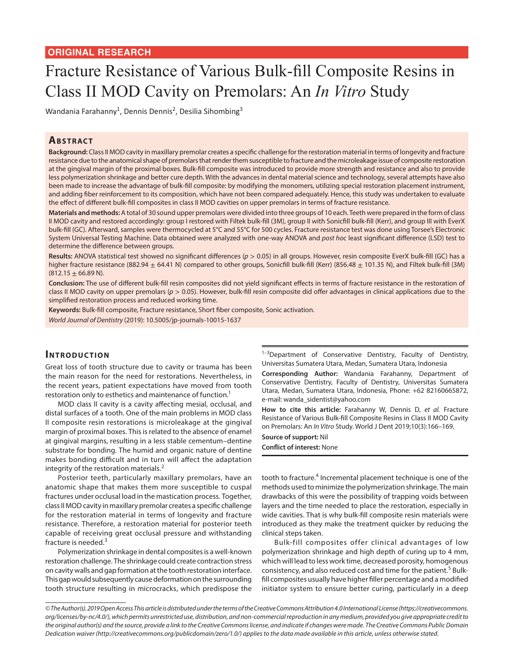# Fracture Resistance of Various Bulk-fill Composite Resins in Class II MOD Cavity on Premolars: An *In Vitro* Study

Wandania Farahanny<sup>1</sup>, Dennis Dennis<sup>2</sup>, Desilia Sihombing<sup>3</sup>

## **ABSTRACT**

**Background:** Class II MOD cavity in maxillary premolar creates a specific challenge for the restoration material in terms of longevity and fracture resistance due to the anatomical shape of premolars that render them susceptible to fracture and the microleakage issue of composite restoration at the gingival margin of the proximal boxes. Bulk-fill composite was introduced to provide more strength and resistance and also to provide less polymerization shrinkage and better cure depth. With the advances in dental material science and technology, several attempts have also been made to increase the advantage of bulk-fill composite: by modifying the monomers, utilizing special restoration placement instrument, and adding fiber reinforcement to its composition, which have not been compared adequately. Hence, this study was undertaken to evaluate the effect of different bulk-fill composites in class II MOD cavities on upper premolars in terms of fracture resistance.

**Materials and methods:** A total of 30 sound upper premolars were divided into three groups of 10 each. Teeth were prepared in the form of class II MOD cavity and restored accordingly: group I restored with Filtek bulk-fill (3M), group II with Sonicfill bulk-fill (Kerr), and group III with EverX bulk-fill (GC). Afterward, samples were thermocycled at 5°C and 55°C for 500 cycles. Fracture resistance test was done using Torsee's Electronic System Universal Testing Machine. Data obtained were analyzed with one-way ANOVA and *post hoc* least significant difference (LSD) test to determine the difference between groups.

Results: ANOVA statistical test showed no significant differences ( $p > 0.05$ ) in all groups. However, resin composite EverX bulk-fill (GC) has a higher fracture resistance (882.94  $\pm$  64.41 N) compared to other groups, Sonicfill bulk-fill (Kerr) (856.48  $\pm$  101.35 N), and Filtek bulk-fill (3M)  $(812.15 \pm 66.89 \text{ N}).$ 

**Conclusion:** The use of different bulk-fill resin composites did not yield significant effects in terms of fracture resistance in the restoration of class II MOD cavity on upper premolars (*p* > 0.05). However, bulk-fill resin composite did offer advantages in clinical applications due to the simplified restoration process and reduced working time.

**Keywords:** Bulk-fill composite, Fracture resistance, Short fiber composite, Sonic activation. *World Journal of Dentistry* (2019): 10.5005/jp-journals-10015-1637

#### **INTRODUCTION**

Great loss of tooth structure due to cavity or trauma has been the main reason for the need for restorations. Nevertheless, in the recent years, patient expectations have moved from tooth restoration only to esthetics and maintenance of function.<sup>1</sup>

MOD class II cavity is a cavity affecting mesial, occlusal, and distal surfaces of a tooth. One of the main problems in MOD class II composite resin restorations is microleakage at the gingival margin of proximal boxes. This is related to the absence of enamel at gingival margins, resulting in a less stable cementum–dentine substrate for bonding. The humid and organic nature of dentine makes bonding difficult and in turn will affect the adaptation integrity of the restoration materials. $<sup>2</sup>$ </sup>

Posterior teeth, particularly maxillary premolars, have an anatomic shape that makes them more susceptible to cuspal fractures under occlusal load in the mastication process. Together, class II MOD cavity in maxillary premolar creates a specific challenge for the restoration material in terms of longevity and fracture resistance. Therefore, a restoration material for posterior teeth capable of receiving great occlusal pressure and withstanding fracture is needed. $3$ 

Polymerization shrinkage in dental composites is a well-known restoration challenge. The shrinkage could create contraction stress on cavity walls and gap formation at the tooth restoration interface. This gap would subsequently cause deformation on the surrounding tooth structure resulting in microcracks, which predispose the  $1-3$ Department of Conservative Dentistry, Faculty of Dentistry, Universitas Sumatera Utara, Medan, Sumatera Utara, Indonesia

**Corresponding Author:** Wandania Farahanny, Department of Conservative Dentistry, Faculty of Dentistry, Universitas Sumatera Utara, Medan, Sumatera Utara, Indonesia, Phone: +62 82160665872, e-mail: wanda\_sidentist@yahoo.com

**How to cite this article:** Farahanny W, Dennis D, *et al.* Fracture Resistance of Various Bulk-fill Composite Resins in Class II MOD Cavity on Premolars: An *In Vitro* Study. World J Dent 2019;10(3):166–169.

**Source of support:** Nil **Conflict of interest:** None

tooth to fracture.<sup>4</sup> Incremental placement technique is one of the methods used to minimize the polymerization shrinkage. The main drawbacks of this were the possibility of trapping voids between layers and the time needed to place the restoration, especially in wide cavities. That is why bulk-fill composite resin materials were introduced as they make the treatment quicker by reducing the clinical steps taken.

Bulk-fill composites offer clinical advantages of low polymerization shrinkage and high depth of curing up to 4 mm, which will lead to less work time, decreased porosity, homogenous consistency, and also reduced cost and time for the patient.<sup>5</sup> Bulkfill composites usually have higher filler percentage and a modified initiator system to ensure better curing, particularly in a deep

*<sup>©</sup> The Author(s). 2019 Open Access This article is distributed under the terms of the Creative Commons Attribution 4.0 International License (https://creativecommons. org/licenses/by-nc/4.0/), which permits unrestricted use, distribution, and non-commercial reproduction in any medium, provided you give appropriate credit to the original author(s) and the source, provide a link to the Creative Commons license, and indicate if changes were made. The Creative Commons Public Domain Dedication waiver (http://creativecommons.org/publicdomain/zero/1.0/) applies to the data made available in this article, unless otherwise stated.*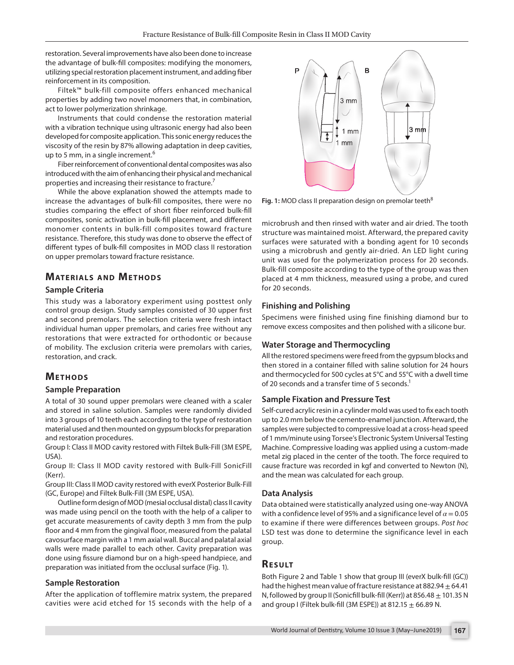restoration. Several improvements have also been done to increase the advantage of bulk-fill composites: modifying the monomers, utilizing special restoration placement instrument, and adding fiber reinforcement in its composition.

Filtek™ bulk-fill composite offers enhanced mechanical properties by adding two novel monomers that, in combination, act to lower polymerization shrinkage.

Instruments that could condense the restoration material with a vibration technique using ultrasonic energy had also been developed for composite application. This sonic energy reduces the viscosity of the resin by 87% allowing adaptation in deep cavities, up to 5 mm, in a single increment.<sup>6</sup>

Fiber reinforcement of conventional dental composites was also introduced with the aim of enhancing their physical and mechanical properties and increasing their resistance to fracture.<sup>7</sup>

While the above explanation showed the attempts made to increase the advantages of bulk-fill composites, there were no studies comparing the effect of short fiber reinforced bulk-fill composites, sonic activation in bulk-fill placement, and different monomer contents in bulk-fill composites toward fracture resistance. Therefore, this study was done to observe the effect of different types of bulk-fill composites in MOD class II restoration on upper premolars toward fracture resistance.

# **MATERIALS AND METHODS**

#### **Sample Criteria**

This study was a laboratory experiment using posttest only control group design. Study samples consisted of 30 upper first and second premolars. The selection criteria were fresh intact individual human upper premolars, and caries free without any restorations that were extracted for orthodontic or because of mobility. The exclusion criteria were premolars with caries, restoration, and crack.

### **METHODS**

#### **Sample Preparation**

A total of 30 sound upper premolars were cleaned with a scaler and stored in saline solution. Samples were randomly divided into 3 groups of 10 teeth each according to the type of restoration material used and then mounted on gypsum blocks for preparation and restoration procedures.

Group I: Class II MOD cavity restored with Filtek Bulk-Fill (3M ESPE, USA).

Group II: Class II MOD cavity restored with Bulk-Fill SonicFill (Kerr).

Group III: Class II MOD cavity restored with everX Posterior Bulk-Fill (GC, Europe) and Filtek Bulk-Fill (3M ESPE, USA).

Outline form design of MOD (mesial occlusal distal) class II cavity was made using pencil on the tooth with the help of a caliper to get accurate measurements of cavity depth 3 mm from the pulp floor and 4 mm from the gingival floor, measured from the palatal cavosurface margin with a 1 mm axial wall. Buccal and palatal axial walls were made parallel to each other. Cavity preparation was done using fissure diamond bur on a high-speed handpiece, and preparation was initiated from the occlusal surface (Fig. 1).

#### **Sample Restoration**

After the application of tofflemire matrix system, the prepared cavities were acid etched for 15 seconds with the help of a



Fig. 1: MOD class II preparation design on premolar teeth<sup>8</sup>

microbrush and then rinsed with water and air dried. The tooth structure was maintained moist. Afterward, the prepared cavity surfaces were saturated with a bonding agent for 10 seconds using a microbrush and gently air-dried. An LED light curing unit was used for the polymerization process for 20 seconds. Bulk-fill composite according to the type of the group was then placed at 4 mm thickness, measured using a probe, and cured for 20 seconds.

#### **Finishing and Polishing**

Specimens were finished using fine finishing diamond bur to remove excess composites and then polished with a silicone bur.

#### **Water Storage and Thermocycling**

All the restored specimens were freed from the gypsum blocks and then stored in a container filled with saline solution for 24 hours and thermocycled for 500 cycles at 5°C and 55°C with a dwell time of 20 seconds and a transfer time of 5 seconds.<sup>1</sup>

#### **Sample Fixation and Pressure Test**

Self-cured acrylic resin in a cylinder mold was used to fix each tooth up to 2.0 mm below the cemento-enamel junction. Afterward, the samples were subjected to compressive load at a cross-head speed of 1 mm/minute using Torsee's Electronic System Universal Testing Machine. Compressive loading was applied using a custom-made metal zig placed in the center of the tooth. The force required to cause fracture was recorded in kgf and converted to Newton (N), and the mean was calculated for each group.

#### **Data Analysis**

Data obtained were statistically analyzed using one-way ANOVA with a confidence level of 95% and a significance level of  $\alpha$  = 0.05 to examine if there were differences between groups. *Post hoc* LSD test was done to determine the significance level in each group.

## **Re s u lt**

Both Figure 2 and Table 1 show that group III (everX bulk-fill (GC)) had the highest mean value of fracture resistance at 882.94  $\pm$  64.41 N, followed by group II (Sonicfill bulk-fill (Kerr)) at 856.48  $\pm$  101.35 N and group I (Filtek bulk-fill (3M ESPE)) at 812.15  $\pm$  66.89 N.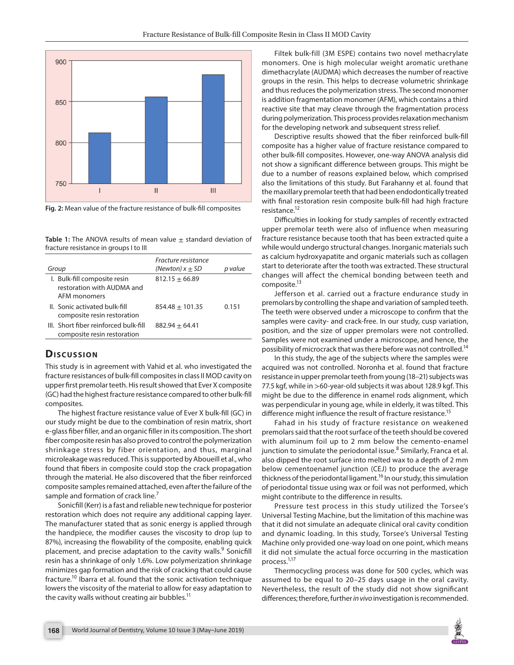

**Fig. 2:** Mean value of the fracture resistance of bulk-fill composites

Table 1: The ANOVA results of mean value  $\pm$  standard deviation of fracture resistance in groups I to III

| Group                                                                      | Fracture resistance<br>(Newton) $x \pm SD$ | p value |
|----------------------------------------------------------------------------|--------------------------------------------|---------|
| I. Bulk-fill composite resin<br>restoration with AUDMA and<br>AFM monomers | $812.15 + 66.89$                           |         |
| II. Sonic activated bulk-fill<br>composite resin restoration               | $854.48 + 101.35$                          | 0.151   |
| III. Short fiber reinforced bulk-fill<br>composite resin restoration       | $882.94 + 64.41$                           |         |

#### **Dis c u s sio n**

This study is in agreement with Vahid et al. who investigated the fracture resistances of bulk-fill composites in class II MOD cavity on upper first premolar teeth. His result showed that Ever X composite (GC) had the highest fracture resistance compared to other bulk-fill composites.

The highest fracture resistance value of Ever X bulk-fill (GC) in our study might be due to the combination of resin matrix, short e-glass fiber filler, and an organic filler in its composition. The short fiber composite resin has also proved to control the polymerization shrinkage stress by fiber orientation, and thus, marginal microleakage was reduced. This is supported by Aboueill et al., who found that fibers in composite could stop the crack propagation through the material. He also discovered that the fiber reinforced composite samples remained attached, even after the failure of the sample and formation of crack line.<sup>7</sup>

Sonicfill (Kerr) is a fast and reliable new technique for posterior restoration which does not require any additional capping layer. The manufacturer stated that as sonic energy is applied through the handpiece, the modifier causes the viscosity to drop (up to 87%), increasing the flowability of the composite, enabling quick placement, and precise adaptation to the cavity walls.<sup>9</sup> Sonicfill resin has a shrinkage of only 1.6%. Low polymerization shrinkage minimizes gap formation and the risk of cracking that could cause fracture.<sup>10</sup> Ibarra et al. found that the sonic activation technique lowers the viscosity of the material to allow for easy adaptation to the cavity walls without creating air bubbles.<sup>11</sup>

Filtek bulk-fill (3M ESPE) contains two novel methacrylate monomers. One is high molecular weight aromatic urethane dimethacrylate (AUDMA) which decreases the number of reactive groups in the resin. This helps to decrease volumetric shrinkage and thus reduces the polymerization stress. The second monomer is addition fragmentation monomer (AFM), which contains a third reactive site that may cleave through the fragmentation process during polymerization. This process provides relaxation mechanism for the developing network and subsequent stress relief.

Descriptive results showed that the fiber reinforced bulk-fill composite has a higher value of fracture resistance compared to other bulk-fill composites. However, one-way ANOVA analysis did not show a significant difference between groups. This might be due to a number of reasons explained below, which comprised also the limitations of this study. But Farahanny et al. found that the maxillary premolar teeth that had been endodontically treated with final restoration resin composite bulk-fill had high fracture resistance.<sup>12</sup>

Difficulties in looking for study samples of recently extracted upper premolar teeth were also of influence when measuring fracture resistance because tooth that has been extracted quite a while would undergo structural changes. Inorganic materials such as calcium hydroxyapatite and organic materials such as collagen start to deteriorate after the tooth was extracted. These structural changes will affect the chemical bonding between teeth and composite.<sup>13</sup>

Jefferson et al. carried out a fracture endurance study in premolars by controlling the shape and variation of sampled teeth. The teeth were observed under a microscope to confirm that the samples were cavity- and crack-free. In our study, cusp variation, position, and the size of upper premolars were not controlled. Samples were not examined under a microscope, and hence, the possibility of microcrack that was there before was not controlled.<sup>14</sup>

In this study, the age of the subjects where the samples were acquired was not controlled. Noronha et al. found that fracture resistance in upper premolar teeth from young (18–21) subjects was 77.5 kgf, while in >60-year-old subjects it was about 128.9 kgf. This might be due to the difference in enamel rods alignment, which was perpendicular in young age, while in elderly, it was tilted. This difference might influence the result of fracture resistance.<sup>15</sup>

Fahad in his study of fracture resistance on weakened premolars said that the root surface of the teeth should be covered with aluminum foil up to 2 mm below the cemento-enamel junction to simulate the periodontal issue.<sup>8</sup> Similarly, Franca et al. also dipped the root surface into melted wax to a depth of 2 mm below cementoenamel junction (CEJ) to produce the average thickness of the periodontal ligament.<sup>16</sup> In our study, this simulation of periodontal tissue using wax or foil was not performed, which might contribute to the difference in results.

Pressure test process in this study utilized the Torsee's Universal Testing Machine, but the limitation of this machine was that it did not simulate an adequate clinical oral cavity condition and dynamic loading. In this study, Torsee's Universal Testing Machine only provided one-way load on one point, which means it did not simulate the actual force occurring in the mastication process.1,17

Thermocycling process was done for 500 cycles, which was assumed to be equal to 20–25 days usage in the oral cavity. Nevertheless, the result of the study did not show significant differences; therefore, further *in vivo* investigation is recommended.